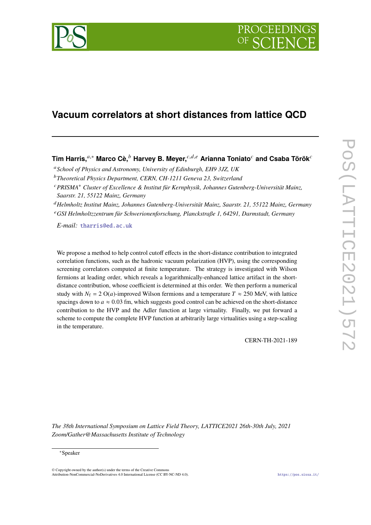

# **Vacuum correlators at short distances from lattice QCD**

## **Tim Harris,**𝑎,<sup>∗</sup> **Marco Cè,**<sup>𝑏</sup> **Harvey B. Meyer,**𝑐,𝑑,𝑒 **Arianna Toniato**<sup>𝑐</sup> **and Csaba Török**<sup>𝑐</sup>

<sup>𝑎</sup>*School of Physics and Astronomy, University of Edinburgh, EH9 3JZ, UK*

<sup>𝑏</sup>*Theoretical Physics Department, CERN, CH-1211 Geneva 23, Switzerland*

<sup>𝑐</sup>*PRISMA*<sup>+</sup> *Cluster of Excellence & Institut für Kernphysik, Johannes Gutenberg-Universität Mainz, Saarstr. 21, 55122 Mainz, Germany*

<sup>𝑑</sup>*Helmholtz Institut Mainz, Johannes Gutenberg-Universität Mainz, Saarstr. 21, 55122 Mainz, Germany*

<sup>𝑒</sup>*GSI Helmholtzzentrum für Schwerionenforschung, Planckstraße 1, 64291, Darmstadt, Germany*

*E-mail:* [tharris@ed.ac.uk](mailto:tharris@ed.ac.uk)

We propose a method to help control cutoff effects in the short-distance contribution to integrated correlation functions, such as the hadronic vacuum polarization (HVP), using the corresponding screening correlators computed at finite temperature. The strategy is investigated with Wilson fermions at leading order, which reveals a logarithmically-enhanced lattice artifact in the shortdistance contribution, whose coefficient is determined at this order. We then perform a numerical study with  $N_f = 2$  O(*a*)-improved Wilson fermions and a temperature  $T \approx 250$  MeV, with lattice spacings down to  $a \approx 0.03$  fm, which suggests good control can be achieved on the short-distance contribution to the HVP and the Adler function at large virtuality. Finally, we put forward a scheme to compute the complete HVP function at arbitrarily large virtualities using a step-scaling in the temperature.

CERN-TH-2021-189

*The 38th International Symposium on Lattice Field Theory, LATTICE2021 26th-30th July, 2021 Zoom/Gather@Massachusetts Institute of Technology*

© Copyright owned by the author(s) under the terms of the Creative Commons Attribution-NonCommercial-NoDerivatives 4.0 International License (CC BY-NC-ND 4.0). <https://pos.sissa.it/>

<sup>∗</sup>Speaker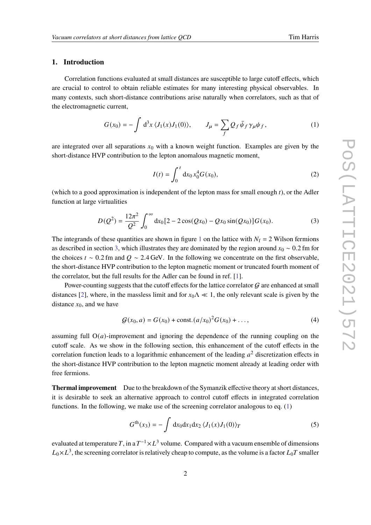## **1. Introduction**

Correlation functions evaluated at small distances are susceptible to large cutoff effects, which are crucial to control to obtain reliable estimates for many interesting physical observables. In many contexts, such short-distance contributions arise naturally when correlators, such as that of the electromagnetic current,

$$
G(x_0) = -\int d^3x \langle J_1(x)J_1(0)\rangle, \qquad J_\mu = \sum_f Q_f \bar{\psi}_f \gamma_\mu \psi_f, \qquad (1)
$$

are integrated over all separations  $x_0$  with a known weight function. Examples are given by the short-distance HVP contribution to the lepton anomalous magnetic moment,

<span id="page-1-0"></span>
$$
I(t) = \int_0^t dx_0 x_0^4 G(x_0),
$$
 (2)

(which to a good approximation is independent of the lepton mass for small enough  $t$ ), or the Adler function at large virtualities

$$
D(Q^2) = \frac{12\pi^2}{Q^2} \int_0^\infty dx_0 [2 - 2\cos(Qx_0) - Qx_0\sin(Qx_0)] G(x_0).
$$
 (3)

The integrands of these quantities are shown in figure [1](#page-2-0) on the lattice with  $N_f = 2$  Wilson fermions as described in section [3,](#page-5-0) which illustrates they are dominated by the region around  $x_0 \sim 0.2$  fm for the choices  $t \sim 0.2$  fm and  $Q \sim 2.4$  GeV. In the following we concentrate on the first observable, the short-distance HVP contribution to the lepton magnetic moment or truncated fourth moment of the correlator, but the full results for the Adler can be found in ref. [\[1\]](#page-8-0).

Power-counting suggests that the cutoff effects for the lattice correlator  $G$  are enhanced at small distances [\[2\]](#page-8-1), where, in the massless limit and for  $x_0 \Lambda \ll 1$ , the only relevant scale is given by the distance  $x_0$ , and we have

<span id="page-1-1"></span>
$$
G(x_0, a) = G(x_0) + \text{const.} (a/x_0)^2 G(x_0) + \dots,
$$
 (4)

assuming full  $O(a)$ -improvement and ignoring the dependence of the running coupling on the cutoff scale. As we show in the following section, this enhancement of the cutoff effects in the correlation function leads to a logarithmic enhancement of the leading  $a^2$  discretization effects in the short-distance HVP contribution to the lepton magnetic moment already at leading order with free fermions.

**Thermal improvement** Due to the breakdown of the Symanzik effective theory at short distances, it is desirable to seek an alternative approach to control cutoff effects in integrated correlation functions. In the following, we make use of the screening correlator analogous to eq. [\(1\)](#page-1-0)

$$
G^{\text{th}}(x_3) = -\int dx_0 dx_1 dx_2 \langle J_1(x)J_1(0)\rangle_T
$$
 (5)

evaluated at temperature T, in a  $T^{-1} \times L^3$  volume. Compared with a vacuum ensemble of dimensions  $L_0 \times L^3$ , the screening correlator is relatively cheap to compute, as the volume is a factor  $L_0T$  smaller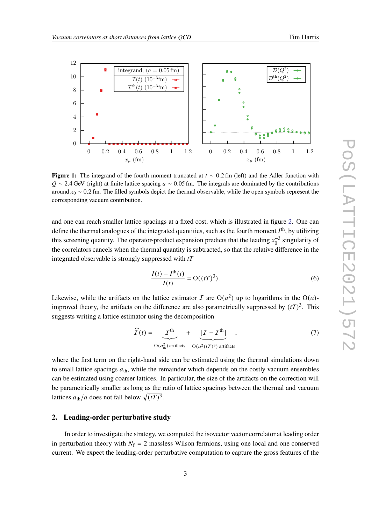<span id="page-2-0"></span>

**Figure 1:** The integrand of the fourth moment truncated at  $t \sim 0.2$  fm (left) and the Adler function with  $Q \sim 2.4$  GeV (right) at finite lattice spacing  $a \sim 0.05$  fm. The integrals are dominated by the contributions around  $x_0 \sim 0.2$  fm. The filled symbols depict the thermal observable, while the open symbols represent the corresponding vacuum contribution.

and one can reach smaller lattice spacings at a fixed cost, which is illustrated in figure [2.](#page-3-0) One can define the thermal analogues of the integrated quantities, such as the fourth moment  $I^{th}$ , by utilizing this screening quantity. The operator-product expansion predicts that the leading  $x_0^{-3}$  singularity of the correlators cancels when the thermal quantity is subtracted, so that the relative difference in the integrated observable is strongly suppressed with  $tT$ 

$$
\frac{I(t) - I^{th}(t)}{I(t)} = O((tT)^{3}).
$$
\n(6)

Likewise, while the artifacts on the lattice estimator  $\tilde{I}$  are  $O(a^2)$  up to logarithms in the  $O(a)$ improved theory, the artifacts on the difference are also parametrically suppressed by  $(tT)^3$ . This suggests writing a lattice estimator using the decomposition

$$
\widehat{I}(t) = \underbrace{I^{\text{th}}}_{\text{O}(a_{\text{th}}^2)\text{ artifacts}} + \underbrace{[I - I^{\text{th}}]}_{\text{O}(a^2(tT)^3)\text{ artifacts}} ,
$$
\n(7)

where the first term on the right-hand side can be estimated using the thermal simulations down to small lattice spacings  $a_{\text{th}}$ , while the remainder which depends on the costly vacuum ensembles can be estimated using coarser lattices. In particular, the size of the artifacts on the correction will be parametrically smaller as long as the ratio of lattice spacings between the thermal and vacuum lattices  $a_{\text{th}}/a$  does not fall below  $\sqrt{(tT)^3}$ .

## **2. Leading-order perturbative study**

In order to investigate the strategy, we computed the isovector vector correlator at leading order in perturbation theory with  $N_f = 2$  massless Wilson fermions, using one local and one conserved current. We expect the leading-order perturbative computation to capture the gross features of the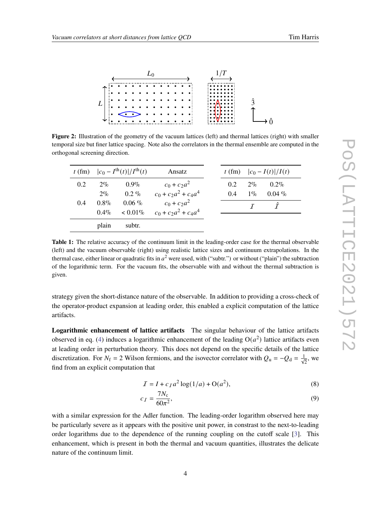<span id="page-3-0"></span>

**Figure 2:** Illustration of the geometry of the vacuum lattices (left) and thermal lattices (right) with smaller temporal size but finer lattice spacing. Note also the correlators in the thermal ensemble are computed in the orthogonal screening direction.

<span id="page-3-1"></span>

|                  | $t \text{ (fm)} \quad  c_0 - I^{\text{th}}(t) /I^{\text{th}}(t)$ |                     | Ansatz                    |               | $t \text{ (fm)} \quad  c_0 - I(t) /I(t)$ |          |  |
|------------------|------------------------------------------------------------------|---------------------|---------------------------|---------------|------------------------------------------|----------|--|
| 0.2 <sub>1</sub> | $2\%$                                                            | $0.9\%$             | $c_0 + c_2 a^2$           | $0.2^{\circ}$ | $2\%$                                    | $0.2\%$  |  |
|                  | $2\%$                                                            | $0.2\%$             | $c_0 + c_2 a^2 + c_4 a^4$ | $0.4^{\circ}$ | $1\%$                                    | $0.04\%$ |  |
| 0.4              | $0.8\%$                                                          | $0.06\%$            | $c_0 + c_2 a^2$           |               |                                          | Î        |  |
|                  |                                                                  | $0.4\% \leq 0.01\%$ | $c_0 + c_2 a^2 + c_4 a^4$ |               |                                          |          |  |
|                  | plain                                                            | subtr.              |                           |               |                                          |          |  |

**Table 1:** The relative accuracy of the continuum limit in the leading-order case for the thermal observable (left) and the vacuum observable (right) using realistic lattice sizes and continuum extrapolations. In the thermal case, either linear or quadratic fits in  $a^2$  were used, with ("subtr.") or without ("plain") the subtraction of the logarithmic term. For the vacuum fits, the observable with and without the thermal subtraction is given.

strategy given the short-distance nature of the observable. In addition to providing a cross-check of the operator-product expansion at leading order, this enabled a explicit computation of the lattice artifacts.

**Logarithmic enhancement of lattice artifacts** The singular behaviour of the lattice artifacts observed in eq. [\(4\)](#page-1-1) induces a logarithmic enhancement of the leading  $O(a^2)$  lattice artifacts even at leading order in perturbation theory. This does not depend on the specific details of the lattice discretization. For  $N_f = 2$  Wilson fermions, and the isovector correlator with  $Q_u = -Q_d = \frac{1}{\sqrt{2}}$ , we find from an explicit computation that

$$
I = I + c_I a^2 \log(1/a) + O(a^2),
$$
\n(8)

$$
c_I = \frac{7N_c}{60\pi^2},\tag{9}
$$

with a similar expression for the Adler function. The leading-order logarithm observed here may be particularly severe as it appears with the positive unit power, in constrast to the next-to-leading order logarithms due to the dependence of the running coupling on the cutoff scale [\[3\]](#page-8-2). This enhancement, which is present in both the thermal and vacuum quantities, illustrates the delicate nature of the continuum limit.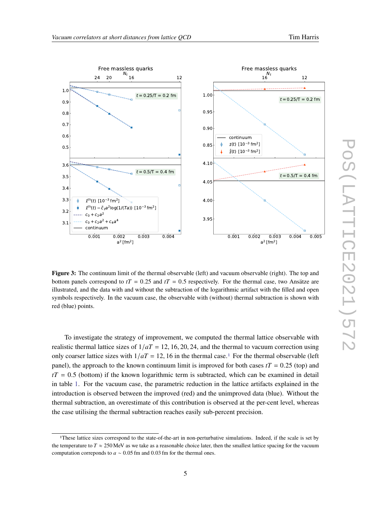0.001 0.002 0.003 0.004  $a^2$  [fm<sup>2</sup>]

<sup>th</sup>(*t*) —  $\tilde{c}_I a^2$ log(1/(*Ta*)) [10<sup>-3</sup> fm<sup>2</sup>]

 $c_0 + c_2 a^2$  $c_0 + c_2 a^2 + c_4 a^4$ continuum

0.5 0.6 0.7 0.8 0.9 1.0

3.1 3.2 3.3 3.4 3.5 3.6

ł



3.95

**Figure 3:** The continuum limit of the thermal observable (left) and vacuum observable (right). The top and bottom panels correspond to  $tT = 0.25$  and  $tT = 0.5$  respectively. For the thermal case, two Ansätze are illustrated, and the data with and without the subtraction of the logarithmic artifact with the filled and open symbols respectively. In the vacuum case, the observable with (without) thermal subtraction is shown with red (blue) points.

To investigate the strategy of improvement, we computed the thermal lattice observable with realistic thermal lattice sizes of  $1/aT = 12, 16, 20, 24$ , and the thermal to vacuum correction using only coarser lattice sizes with  $1/aT = 12$  $1/aT = 12$ , 16 in the thermal case.<sup>1</sup> For the thermal observable (left panel), the approach to the known continuum limit is improved for both cases  $tT = 0.25$  (top) and  $tT = 0.5$  (bottom) if the known logarithmic term is subtracted, which can be examined in detail in table [1.](#page-3-1) For the vacuum case, the parametric reduction in the lattice artifacts explained in the introduction is observed between the improved (red) and the unimproved data (blue). Without the thermal subtraction, an overestimate of this contribution is observed at the per-cent level, whereas the case utilising the thermal subtraction reaches easily sub-percent precision.

0.001 0.002 0.003 0.004 0.005  $a^2$  [fm<sup>2</sup>]

<span id="page-4-0"></span><sup>1</sup>These lattice sizes correspond to the state-of-the-art in non-perturbative simulations. Indeed, if the scale is set by the temperature to  $T \approx 250$  MeV as we take as a reasonable choice later, then the smallest lattice spacing for the vacuum computation correponds to  $a \sim 0.05$  fm and 0.03 fm for the thermal ones.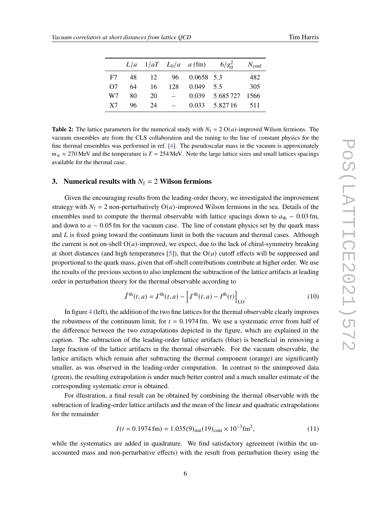|    |    |    |      | $L/a$ 1/aT $L_0/a$ a (fm) | $6/g_0^2$            | $N_{\rm conf}$ |
|----|----|----|------|---------------------------|----------------------|----------------|
| F7 | 48 | 12 | 96 — | 0.0658 5.3                |                      | 482            |
| O7 | 64 | 16 | 128  | 0.049                     | 55                   | 305            |
| W7 | 80 | 20 |      |                           | 0.039 5.685 727 1566 |                |
| X7 | 96 | 24 |      |                           | 0.033 5.827.16       | 511            |

**Table 2:** The lattice parameters for the numerical study with  $N_f = 2 O(a)$ -improved Wilson fermions. The vacuum ensembles are from the CLS collaboration and the tuning to the line of constant physics for the fine thermal ensembles was performed in ref. [\[4\]](#page-8-3). The pseudoscalar mass in the vacuum is approximately  $m_{\pi} \approx 270$  MeV and the temperature is  $T = 254$  MeV. Note the large lattice sizes and small lattices spacings available for the thermal case.

#### <span id="page-5-0"></span>**3. Numerical results with**  $N_f = 2$  **Wilson fermions**

Given the encouraging results from the leading-order theory, we investigated the improvement strategy with  $N_f = 2$  non-perturbatively  $O(a)$ -improved Wilson fermions in the sea. Details of the ensembles used to compute the thermal observable with lattice spacings down to  $a_{th} \sim 0.03$  fm, and down to  $a \sim 0.05$  fm for the vacuum case. The line of constant physics set by the quark mass and  $L$  is fixed going toward the continuum limit in both the vacuum and thermal cases. Although the current is not on-shell  $O(a)$ -improved, we expect, due to the lack of chiral-symmetry breaking at short distances (and high temperatures [\[5\]](#page-8-4)), that the  $O(a)$  cutoff effects will be suppressed and proportional to the quark mass, given that off-shell contributions contribute at higher order. We use the results of the previous section to also implement the subtraction of the lattice artifacts at leading order in perturbation theory for the thermal observable according to

$$
\mathring{\mathcal{I}}^{\text{th}}(t,a) = \mathcal{I}^{\text{th}}(t,a) - \left[\mathcal{I}^{\text{th}}(t,a) - \mathcal{I}^{\text{th}}(t)\right]_{\text{LO}}.\tag{10}
$$

In figure [4](#page-6-0) (left), the addition of the two fine lattices for the thermal observable clearly improves the robustness of the continuum limit, for  $t = 0.1974$  fm. We use a systematic error from half of the difference between the two extrapolations depicted in the figure, which are explained in the caption. The subtraction of the leading-order lattice artifacts (blue) is beneficial in removing a large fraction of the lattice artifacts in the thermal observable. For the vacuum observable, the lattice artifacts which remain after subtracting the thermal component (orange) are significantly smaller, as was observed in the leading-order computation. In contrast to the unimproved data (green), the resulting extrapolation is under much better control and a much smaller estimate of the corresponding systematic error is obtained.

For illustration, a final result can be obtained by combining the thermal observable with the subtraction of leading-order lattice artifacts and the mean of the linear and quadratic extrapolations for the remainder

$$
I(t = 0.1974 \text{ fm}) = 1.035(9)_{\text{stat}}(19)_{\text{cont}} \times 10^{-3} \text{fm}^2,
$$
 (11)

while the systematics are added in quadrature. We find satisfactory agreement (within the unaccounted mass and non-perturbative effects) with the result from perturbation theory using the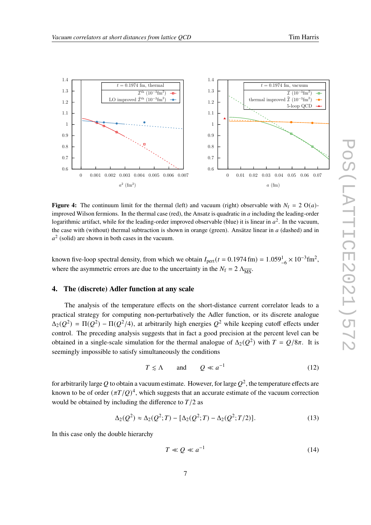<span id="page-6-0"></span>

**Figure 4:** The continuum limit for the thermal (left) and vacuum (right) observable with  $N_f = 2 O(a)$ improved Wilson fermions. In the thermal case (red), the Ansatz is quadratic in  $a$  including the leading-order logarithmic artifact, while for the leading-order improved observable (blue) it is linear in  $a^2$ . In the vacuum, the case with (without) thermal subtraction is shown in orange (green). Ansätze linear in  $a$  (dashed) and in  $a<sup>2</sup>$  (solid) are shown in both cases in the vacuum.

known five-loop spectral density, from which we obtain  $I_{\text{pert}}(t=0.1974 \text{ fm}) = 1.059_{-6}^{1} \times 10^{-3} \text{fm}^2$ , where the asymmetric errors are due to the uncertainty in the  $N_f = 2 \Lambda_{\overline{MS}}$ .

#### **4. The (discrete) Adler function at any scale**

The analysis of the temperature effects on the short-distance current correlator leads to a practical strategy for computing non-perturbatively the Adler function, or its discrete analogue  $\Delta_2(Q^2) = \Pi(Q^2) - \Pi(Q^2/4)$ , at arbitrarily high energies  $Q^2$  while keeping cutoff effects under control. The preceding analysis suggests that in fact a good precision at the percent level can be obtained in a single-scale simulation for the thermal analogue of  $\Delta_2(Q^2)$  with  $T = Q/8\pi$ . It is seemingly impossible to satisfy simultaneously the conditions

$$
T \le \Lambda \qquad \text{and} \qquad Q \ll a^{-1} \tag{12}
$$

for arbitrarily large O to obtain a vacuum estimate. However, for large  $O^2$ , the temperature effects are known to be of order  $(\pi T/Q)^4$ , which suggests that an accurate estimate of the vacuum correction would be obtained by including the difference to  $T/2$  as

$$
\Delta_2(Q^2) \approx \Delta_2(Q^2; T) - [\Delta_2(Q^2; T) - \Delta_2(Q^2; T/2)]. \tag{13}
$$

In this case only the double hierarchy

$$
T \ll Q \ll a^{-1} \tag{14}
$$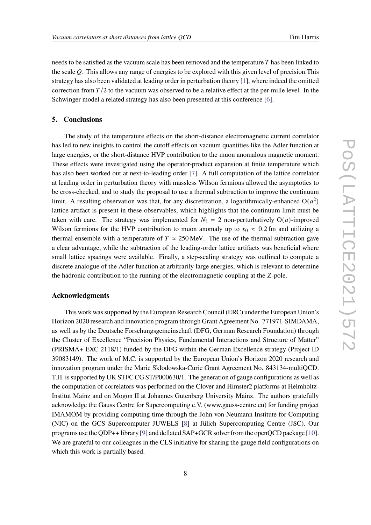needs to be satisfied as the vacuum scale has been removed and the temperature  $T$  has been linked to the scale Q. This allows any range of energies to be explored with this given level of precision. This strategy has also been validated at leading order in perturbation theory [\[1\]](#page-8-0), where indeed the omitted correction from  $T/2$  to the vacuum was observed to be a relative effect at the per-mille level. In the Schwinger model a related strategy has also been presented at this conference [\[6\]](#page-8-5).

## **5. Conclusions**

The study of the temperature effects on the short-distance electromagnetic current correlator has led to new insights to control the cutoff effects on vacuum quantities like the Adler function at large energies, or the short-distance HVP contribution to the muon anomalous magnetic moment. These effects were investigated using the operator-product expansion at finite temperature which has also been worked out at next-to-leading order [\[7\]](#page-8-6). A full computation of the lattice correlator at leading order in perturbation theory with massless Wilson fermions allowed the asymptotics to be cross-checked, and to study the proposal to use a thermal subtraction to improve the continuum limit. A resulting observation was that, for any discretization, a logarithmically-enhanced  $O(a^2)$ lattice artifact is present in these observables, which highlights that the continuum limit must be taken with care. The strategy was implemented for  $N_f = 2$  non-perturbatively  $O(a)$ -improved Wilson fermions for the HVP contribution to muon anomaly up to  $x_0 \approx 0.2$  fm and utilizing a thermal ensemble with a temperature of  $T \approx 250$  MeV. The use of the thermal subtraction gave a clear advantage, while the subtraction of the leading-order lattice artifacts was beneficial where small lattice spacings were available. Finally, a step-scaling strategy was outlined to compute a discrete analogue of the Adler function at arbitrarily large energies, which is relevant to determine the hadronic contribution to the running of the electromagnetic coupling at the  $Z$ -pole.

#### **Acknowledgments**

This work was supported by the European Research Council (ERC) under the European Union's Horizon 2020 research and innovation program through Grant Agreement No. 771971-SIMDAMA, as well as by the Deutsche Forschungsgemeinschaft (DFG, German Research Foundation) through the Cluster of Excellence "Precision Physics, Fundamental Interactions and Structure of Matter" (PRISMA+ EXC 2118/1) funded by the DFG within the German Excellence strategy (Project ID 39083149). The work of M.C. is supported by the European Union's Horizon 2020 research and innovation program under the Marie Skłodowska-Curie Grant Agreement No. 843134-multiQCD. T.H. is supported by UK STFC CG ST/P000630/1. The generation of gauge configurations as well as the computation of correlators was performed on the Clover and Himster2 platforms at Helmholtz-Institut Mainz and on Mogon II at Johannes Gutenberg University Mainz. The authors gratefully acknowledge the Gauss Centre for Supercomputing e.V. (www.gauss-centre.eu) for funding project IMAMOM by providing computing time through the John von Neumann Institute for Computing (NIC) on the GCS Supercomputer JUWELS [\[8\]](#page-8-7) at Jülich Supercomputing Centre (JSC). Our programs use the QDP++ library [\[9\]](#page-8-8) and deflated SAP+GCR solver from the openQCD package [\[10\]](#page-8-9). We are grateful to our colleagues in the CLS initiative for sharing the gauge field configurations on which this work is partially based.